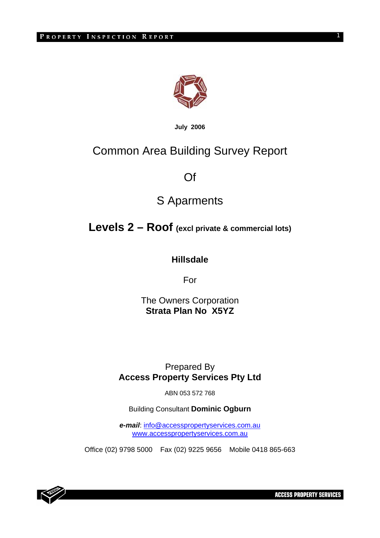

**July 2006**

# Common Area Building Survey Report

Of

# S Aparments

# **Levels 2 – Roof (excl private & commercial lots)**

**Hillsdale** 

For

The Owners Corporation **Strata Plan No X5YZ** 

# Prepared By **Access Property Services Pty Ltd**

ABN 053 572 768

Building Consultant **Dominic Ogburn** 

*e-mail*: info@accesspropertyservices.com.au www.accesspropertyservices.com.au

Office (02) 9798 5000 Fax (02) 9225 9656 Mobile 0418 865-663



**ACCESS PROPERTY SERVICES** 

1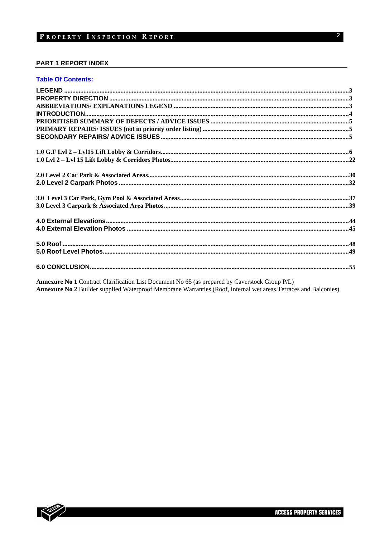#### **PART 1 REPORT INDEX**

#### **Table Of Contents:**

Annexure No 1 Contract Clarification List Document No 65 (as prepared by Caverstock Group P/L) Annexure No 2 Builder supplied Waterproof Membrane Warranties (Roof, Internal wet areas, Terraces and Balconies)

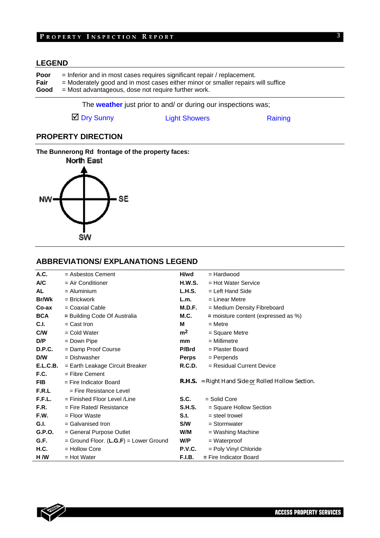# PROPERTY INSPECTION REPORT

# **LEGEND**

| Poor | $=$ Inferior and in most cases requires significant repair / replacement.        |
|------|----------------------------------------------------------------------------------|
| Fair | = Moderately good and in most cases either minor or smaller repairs will suffice |
| Good | = Most advantageous, dose not require further work.                              |

The **weather** just prior to and/ or during our inspections was;

■ Dry Sunny Light Showers Raining

3

# **PROPERTY DIRECTION**

**The Bunnerong Rd frontage of the property faces:** 



# **ABBREVIATIONS/ EXPLANATIONS LEGEND**

| A.C.        | $=$ Asbestos Cement                    | H/wd           | = Hardwood                                                |
|-------------|----------------------------------------|----------------|-----------------------------------------------------------|
| A/C         | $=$ Air Conditioner                    | <b>H.W.S.</b>  | $=$ Hot Water Service                                     |
| <b>AL</b>   | $=$ Aluminium                          | <b>L.H.S.</b>  | $=$ Left Hand Side                                        |
| Br/Wk       | $=$ Brickwork                          | L.m.           | $=$ Linear Metre                                          |
| Co-ax       | $=$ Coaxial Cable                      | M.D.F.         | = Medium Density Fibreboard                               |
| <b>BCA</b>  | = Building Code Of Australia           | M.C.           | $=$ moisture content (expressed as %)                     |
| C.I.        | $=$ Cast Iron                          | м              | $=$ Metre                                                 |
| C/W         | $=$ Cold Water                         | m <sup>2</sup> | $=$ Square Metre                                          |
| D/P         | = Down Pipe                            | <sub>mm</sub>  | $=$ Millimetre                                            |
| D.P.C.      | = Damp Proof Course                    | P/Brd          | $=$ Plaster Board                                         |
| D/W         | = Dishwasher                           | Perps          | $=$ Perpends                                              |
| E.L.C.B.    | = Earth Leakage Circuit Breaker        | R.C.D.         | $=$ Residual Current Device                               |
| F.C.        | $=$ Fibre Cement                       |                |                                                           |
| <b>FIB</b>  | $=$ Fire Indicator Board               |                | <b>R.H.S.</b> = Right Hand Side or Rolled Hollow Section. |
| F.R.L       | $=$ Fire Resistance Level              |                |                                                           |
| F.F.L.      | $=$ Finished Floor Level / Line        | S.C.           | = Solid Core                                              |
| F.R.        | $=$ Fire Rated/ Resistance             | <b>S.H.S.</b>  | = Square Hollow Section                                   |
| F.W.        | = Floor Waste                          | S.t.           | $=$ steel trowel                                          |
| G.I.        | $=$ Galvanised Iron                    | <b>S/W</b>     | $=$ Stormwater                                            |
| G.P.O.      | = General Purpose Outlet               | W/M            | = Washing Machine                                         |
| G.F.        | = Ground Floor. (L.G.F) = Lower Ground | W/P            | $=$ Waterproof                                            |
| <b>H.C.</b> | $=$ Hollow Core                        | P.V.C.         | = Poly Vinyl Chloride                                     |
| H /W        | = Hot Water                            | F.I.B.         | $=$ Fire Indicator Board                                  |

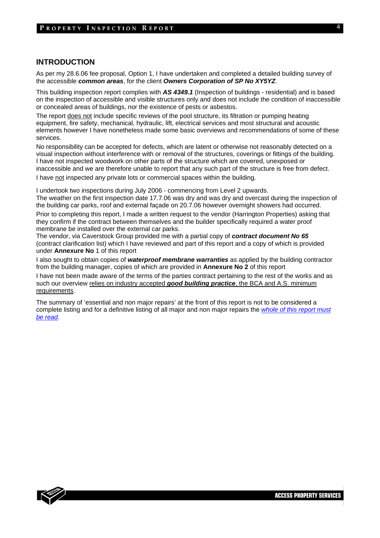#### **INTRODUCTION**

As per my 28.6.06 fee proposal, Option 1, I have undertaken and completed a detailed building survey of the accessible *common areas*, for the client *Owners Corporation of SP No XY5YZ*.

This building inspection report complies with *AS 4349.1* (Inspection of buildings - residential) and is based on the inspection of accessible and visible structures only and does not include the condition of inaccessible or concealed areas of buildings, nor the existence of pests or asbestos.

The report does not include specific reviews of the pool structure, its filtration or pumping heating equipment, fire safety, mechanical, hydraulic, lift, electrical services and most structural and acoustic elements however I have nonetheless made some basic overviews and recommendations of some of these services.

No responsibility can be accepted for defects, which are latent or otherwise not reasonably detected on a visual inspection without interference with or removal of the structures, coverings or fittings of the building. I have not inspected woodwork on other parts of the structure which are covered, unexposed or inaccessible and we are therefore unable to report that any such part of the structure is free from defect. I have not inspected any private lots or commercial spaces within the building.

I undertook two inspections during July 2006 - commencing from Level 2 upwards. The weather on the first inspection date 17.7.06 was dry and was dry and overcast during the inspection of the building car parks, roof and external façade on 20.7.06 however overnight showers had occurred.

Prior to completing this report, I made a written request to the vendor (Harrington Properties) asking that they confirm if the contract between themselves and the builder specifically required a water proof membrane be installed over the external car parks.

The vendor, via Caverstock Group provided me with a partial copy of *contract document No 65*  (contract clarification list) which I have reviewed and part of this report and a copy of which is provided under **Annexure No** 1 of this report

I also sought to obtain copies of *waterproof membrane warranties* as applied by the building contractor from the building manager, copies of which are provided in **Annexure No 2** of this report

I have not been made aware of the terms of the parties contract pertaining to the rest of the works and as such our overview relies on industry accepted *good building practice*, the BCA and A.S. minimum requirements.

The summary of 'essential and non major repairs' at the front of this report is not to be considered a complete listing and for a definitive listing of all major and non major repairs the *whole of this report must be read*.

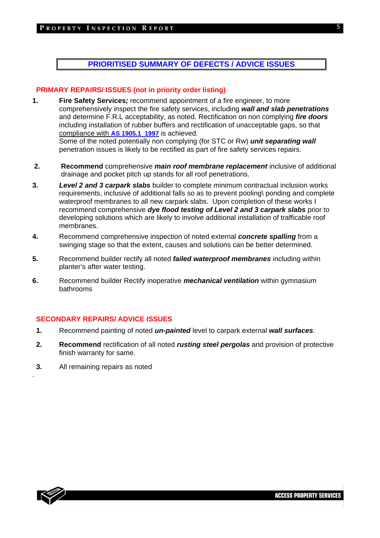# **PRIORITISED SUMMARY OF DEFECTS / ADVICE ISSUES**

## **PRIMARY REPAIRS/ ISSUES (not in priority order listing)**

- **1. Fire Safety Services***;* recommend appointment of a fire engineer, to more comprehensively inspect the fire safety services, including *wall and slab penetrations* and determine F.R.L acceptability, as noted. Rectification on non complying *fire doors* including installation of rubber buffers and rectification of unacceptable gaps, so that compliance with **AS 1905.1 1997** is achieved. Some of the noted potentially non complying (for STC or Rw) *unit separating wall*  penetration issues is likely to be rectified as part of fire safety services repairs.
- **2. Recommend** comprehensive *main roof membrane replacement* inclusive of additional drainage and pocket pitch up stands for all roof penetrations.
- **3.** *Level 2 and 3 carpark slabs* builder to complete minimum contractual inclusion works requirements, inclusive of additional falls so as to prevent pooling\ ponding and complete waterproof membranes to all new carpark slabs. Upon completion of these works I recommend comprehensive *dye flood testing of Level 2 and 3 carpark slabs* prior to developing solutions which are likely to involve additional installation of trafficable roof membranes.
- **4.** Recommend comprehensive inspection of noted external *concrete spalling* from a swinging stage so that the extent, causes and solutions can be better determined.
- **5.** Recommend builder rectify all noted *failed waterproof membranes* including within planter's after water testing.
- **6.** Recommend builder Rectify inoperative *mechanical ventilation* within gymnasium bathrooms

# **SECONDARY REPAIRS/ ADVICE ISSUES**

- **1.** Recommend painting of noted *un-painted* level to carpark external *wall surfaces*.
- **2. Recommend** rectification of all noted *rusting steel pergolas* and provision of protective finish warranty for same.
- **3.** All remaining repairs as noted



.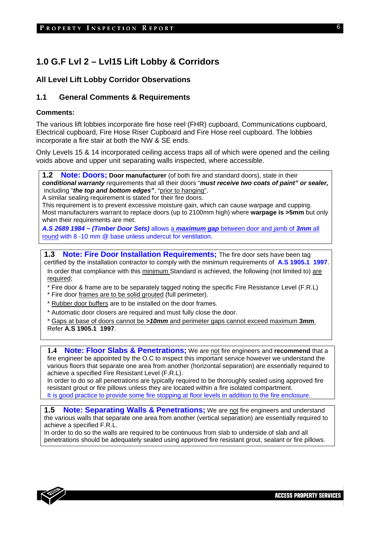# **1.0 G.F Lvl 2 – Lvl15 Lift Lobby & Corridors**

# **All Level Lift Lobby Corridor Observations**

# **1.1 General Comments & Requirements**

#### **Comments:**

The various lift lobbies incorporate fire hose reel (FHR) cupboard, Communications cupboard, Electrical cupboard, Fire Hose Riser Cupboard and Fire Hose reel cupboard. The lobbies incorporate a fire stair at both the NW & SE ends.

Only Levels 15 & 14 incorporated ceiling access traps all of which were opened and the ceiling voids above and upper unit separating walls inspected, where accessible.

**1.2 Note: Doors; Door manufacturer** (of both fire and standard doors), state in their *conditional warranty* requirements that all their doors "*must receive two coats of paint" or sealer,* including "*the top and bottom edges"*, "prior to hanging".

A similar sealing requirement is stated for their fire doors.

This requirement is to prevent excessive moisture gain, which can cause warpage and cupping. Most manufacturers warrant to replace doors (up to 2100mm high) where **warpage is >5mm** but only when their requirements are met.

*A.S 2689 1984 ~ (Timber Door Sets)* allows a *maximum gap* between door and jamb of *3mm* all round with 8 -10 mm @ base unless undercut for ventilation.

**1.3 Note: Fire Door Installation Requirements:** The fire door sets have been tag certified by the installation contractor to comply with the minimum requirements of **A.S 1905.1 1997**. In order that compliance with this minimum Standard is achieved, the following (not limited to) are required;

- \* Fire door & frame are to be separately tagged noting the specific Fire Resistance Level (F.R.L)
- \* Fire door frames are to be solid grouted (full perimeter).
- \* Rubber door buffers are to be installed on the door frames.
- \* Automatic door closers are required and must fully close the door.

\* Gaps at base of doors cannot be *>10mm* and perimeter gaps cannot exceed maximum **3mm**. Refer **A.S 1905.1 1997**.

**1.4 Note: Floor Slabs & Penetrations;** We are not fire engineers and **recommend** that a fire engineer be appointed by the O.C to inspect this important service however we understand the various floors that separate one area from another (horizontal separation) are essentially required to achieve a specified Fire Resistant Level (F.R.L).

In order to do so all penetrations are typically required to be thoroughly sealed using approved fire resistant grout or fire pillows unless they are located within a fire isolated compartment. It is good practice to provide some fire stopping at floor levels in addition to the fire enclosure.

**1.5 Note: Separating Walls & Penetrations;** We are not fire engineers and understand the various walls that separate one area from another (vertical separation) are essentially required to achieve a specified F.R.L.

In order to do so the walls are required to be continuous from slab to underside of slab and all penetrations should be adequately sealed using approved fire resistant grout, sealant or fire pillows.

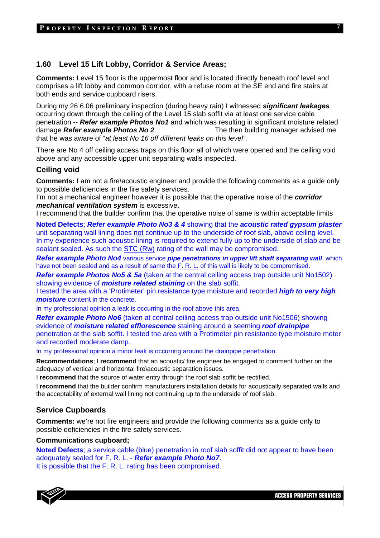# **1.60 Level 15 Lift Lobby, Corridor & Service Areas;**

**Comments:** Level 15 floor is the uppermost floor and is located directly beneath roof level and comprises a lift lobby and common corridor, with a refuse room at the SE end and fire stairs at both ends and service cupboard risers.

During my 26.6.06 preliminary inspection (during heavy rain) I witnessed *significant leakages* occurring down through the ceiling of the Level 15 slab soffit via at least one service cable penetration -- *Refer example Photos No1* and which was resulting in significant moisture related damage *Refer example Photos No 2*. The then building manager advised me that he was aware of "*at least No 16 off different leaks on this level"*.

There are No 4 off ceiling access traps on this floor all of which were opened and the ceiling void above and any accessible upper unit separating walls inspected.

#### **Ceiling void**

**Comments:** I am not a fire\acoustic engineer and provide the following comments as a guide only to possible deficiencies in the fire safety services.

I'm not a mechanical engineer however it is possible that the operative noise of the *corridor mechanical ventilation system* is excessive.

I recommend that the builder confirm that the operative noise of same is within acceptable limits

**Noted Defects**; *Refer example Photo No3 & 4* showing that the *acoustic rated gypsum plaster* unit separating wall lining does not continue up to the underside of roof slab, above ceiling level. In my experience such acoustic lining is required to extend fully up to the underside of slab and be sealant sealed. As such the STC (Rw) rating of the wall may be compromised.

*Refer example Photo No4* various service *pipe penetrations in upper lift shaft separating wall*, which have not been sealed and as a result of same the F. R. L. of this wall is likely to be compromised.

**Refer example Photos No5 & 5a** (taken at the central ceiling access trap outside unit No1502) showing evidence of *moisture related staining* on the slab soffit.

I tested the area with a 'Protimeter' pin resistance type moisture and recorded *high to very high moisture* content in the concrete.

In my professional opinion a leak is occurring in the roof above this area.

**Refer example Photo No6** (taken at central ceiling access trap outside unit No1506) showing evidence of *moisture related efflorescence* staining around a seeming *roof drainpipe* penetration at the slab soffit. I tested the area with a Protimeter pin resistance type moisture meter and recorded moderate damp.

In my professional opinion a minor leak is occurring around the drainpipe penetration.

**Recommendations**; I **recommend** that an acoustic/ fire engineer be engaged to comment further on the adequacy of vertical and horizontal fire\acoustic separation issues.

I **recommend** that the source of water entry through the roof slab soffit be rectified.

I **recommend** that the builder confirm manufacturers installation details for acoustically separated walls and the acceptability of external wall lining not continuing up to the underside of roof slab.

#### **Service Cupboards**

**Comments:** we're not fire engineers and provide the following comments as a guide only to possible deficiencies in the fire safety services.

#### **Communications cupboard;**

**Noted Defects**; a service cable (blue) penetration in roof slab soffit did not appear to have been adequately sealed for F. R. L. - *Refer example Photo No7*. It is possible that the F. R. L. rating has been compromised.

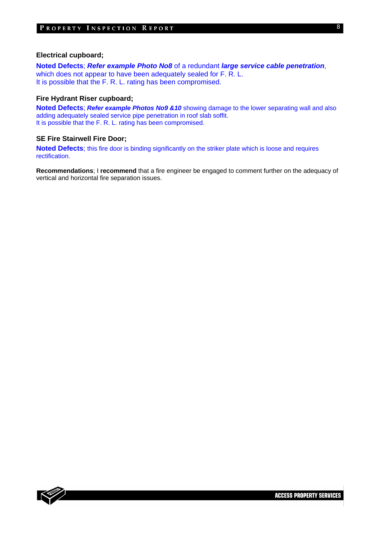#### **Electrical cupboard;**

**Noted Defects**; *Refer example Photo No8* of a redundant *large service cable penetration*, which does not appear to have been adequately sealed for F. R. L. It is possible that the F. R. L. rating has been compromised.

#### **Fire Hydrant Riser cupboard;**

**Noted Defects**; *Refer example Photos No9 &10* showing damage to the lower separating wall and also adding adequately sealed service pipe penetration in roof slab soffit. It is possible that the F. R. L. rating has been compromised.

### **SE Fire Stairwell Fire Door;**

**Noted Defects**; this fire door is binding significantly on the striker plate which is loose and requires rectification.

**Recommendations**; I **recommend** that a fire engineer be engaged to comment further on the adequacy of vertical and horizontal fire separation issues.

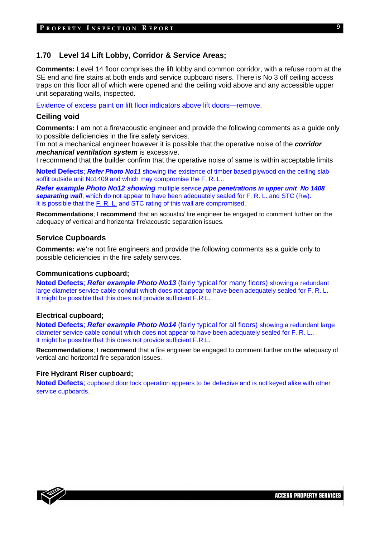### **1.70 Level 14 Lift Lobby, Corridor & Service Areas;**

**Comments:** Level 14 floor comprises the lift lobby and common corridor, with a refuse room at the SE end and fire stairs at both ends and service cupboard risers. There is No 3 off ceiling access traps on this floor all of which were opened and the ceiling void above and any accessible upper unit separating walls, inspected.

Evidence of excess paint on lift floor indicators above lift doors—remove.

#### **Ceiling void**

**Comments:** I am not a fire\acoustic engineer and provide the following comments as a guide only to possible deficiencies in the fire safety services.

I'm not a mechanical engineer however it is possible that the operative noise of the *corridor mechanical ventilation system* is excessive.

I recommend that the builder confirm that the operative noise of same is within acceptable limits

**Noted Defects: Refer Photo No11** showing the existence of timber based plywood on the ceiling slab soffit outside unit No1409 and which may compromise the F. R. L..

*Refer example Photo No12 showing* multiple service *pipe penetrations in upper unit No 1408 separating wall*, which do not appear to have been adequately sealed for F. R. L. and STC (Rw). It is possible that the F. R. L. and STC rating of this wall are compromised.

**Recommendations**; I **recommend** that an acoustic/ fire engineer be engaged to comment further on the adequacy of vertical and horizontal fire\acoustic separation issues.

#### **Service Cupboards**

**Comments:** we're not fire engineers and provide the following comments as a guide only to possible deficiencies in the fire safety services.

#### **Communications cupboard;**

**Noted Defects**; *Refer example Photo No13* (fairly typical for many floors) showing a redundant large diameter service cable conduit which does not appear to have been adequately sealed for F. R. L. It might be possible that this does not provide sufficient F.R.L.

#### **Electrical cupboard;**

**Noted Defects**; *Refer example Photo No14* (fairly typical for all floors) showing a redundant large diameter service cable conduit which does not appear to have been adequately sealed for F. R. L.. It might be possible that this does not provide sufficient F.R.L.

**Recommendations**; I **recommend** that a fire engineer be engaged to comment further on the adequacy of vertical and horizontal fire separation issues.

# **Fire Hydrant Riser cupboard;**

**Noted Defects**; cupboard door lock operation appears to be defective and is not keyed alike with other service cupboards.

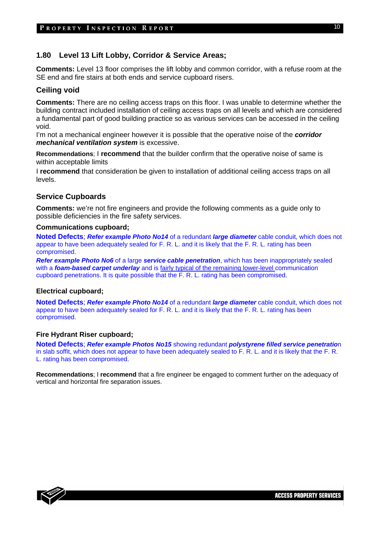# **1.80 Level 13 Lift Lobby, Corridor & Service Areas;**

**Comments:** Level 13 floor comprises the lift lobby and common corridor, with a refuse room at the SE end and fire stairs at both ends and service cupboard risers.

#### **Ceiling void**

**Comments:** There are no ceiling access traps on this floor. I was unable to determine whether the building contract included installation of ceiling access traps on all levels and which are considered a fundamental part of good building practice so as various services can be accessed in the ceiling void.

I'm not a mechanical engineer however it is possible that the operative noise of the *corridor mechanical ventilation system* is excessive.

**Recommendations**; I **recommend** that the builder confirm that the operative noise of same is within acceptable limits

I **recommend** that consideration be given to installation of additional ceiling access traps on all levels.

#### **Service Cupboards**

**Comments:** we're not fire engineers and provide the following comments as a guide only to possible deficiencies in the fire safety services.

#### **Communications cupboard;**

**Noted Defects**; *Refer example Photo No14* of a redundant *large diameter* cable conduit, which does not appear to have been adequately sealed for F. R. L. and it is likely that the F. R. L. rating has been compromised.

*Refer example Photo No6* of a large *service cable penetration*, which has been inappropriately sealed with a *foam-based carpet underlay* and is fairly typical of the remaining lower-level communication cupboard penetrations. It is quite possible that the F. R. L. rating has been compromised.

#### **Electrical cupboard;**

**Noted Defects**; *Refer example Photo No14* of a redundant *large diameter* cable conduit, which does not appear to have been adequately sealed for F. R. L. and it is likely that the F. R. L. rating has been compromised.

## **Fire Hydrant Riser cupboard;**

**Noted Defects**; *Refer example Photos No15* showing redundant *polystyrene filled service penetratio*n in slab soffit, which does not appear to have been adequately sealed to F. R. L. and it is likely that the F. R. L. rating has been compromised.

**Recommendations**; I **recommend** that a fire engineer be engaged to comment further on the adequacy of vertical and horizontal fire separation issues.

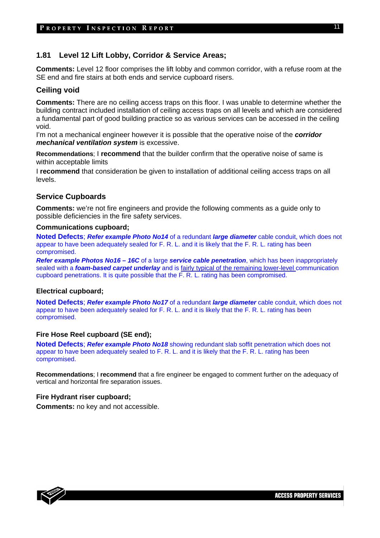# **1.81 Level 12 Lift Lobby, Corridor & Service Areas;**

**Comments:** Level 12 floor comprises the lift lobby and common corridor, with a refuse room at the SE end and fire stairs at both ends and service cupboard risers.

#### **Ceiling void**

**Comments:** There are no ceiling access traps on this floor. I was unable to determine whether the building contract included installation of ceiling access traps on all levels and which are considered a fundamental part of good building practice so as various services can be accessed in the ceiling void.

I'm not a mechanical engineer however it is possible that the operative noise of the *corridor mechanical ventilation system* is excessive.

**Recommendations**; I **recommend** that the builder confirm that the operative noise of same is within acceptable limits

I **recommend** that consideration be given to installation of additional ceiling access traps on all levels.

#### **Service Cupboards**

**Comments:** we're not fire engineers and provide the following comments as a guide only to possible deficiencies in the fire safety services.

#### **Communications cupboard;**

**Noted Defects**; *Refer example Photo No14* of a redundant *large diameter* cable conduit, which does not appear to have been adequately sealed for F. R. L. and it is likely that the F. R. L. rating has been compromised.

*Refer example Photos No16 – 16C* of a large *service cable penetration*, which has been inappropriately sealed with a *foam-based carpet underlay* and is fairly typical of the remaining lower-level communication cupboard penetrations. It is quite possible that the F. R. L. rating has been compromised.

#### **Electrical cupboard;**

**Noted Defects**; *Refer example Photo No17* of a redundant *large diameter* cable conduit, which does not appear to have been adequately sealed for F. R. L. and it is likely that the F. R. L. rating has been compromised.

## **Fire Hose Reel cupboard (SE end);**

**Noted Defects**; *Refer example Photo No18* showing redundant slab soffit penetration which does not appear to have been adequately sealed to F. R. L. and it is likely that the F. R. L. rating has been compromised.

**Recommendations**; I **recommend** that a fire engineer be engaged to comment further on the adequacy of vertical and horizontal fire separation issues.

## **Fire Hydrant riser cupboard;**

**Comments:** no key and not accessible.

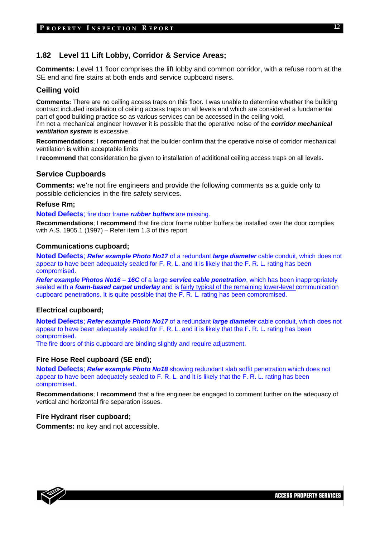# **1.82 Level 11 Lift Lobby, Corridor & Service Areas;**

**Comments:** Level 11 floor comprises the lift lobby and common corridor, with a refuse room at the SE end and fire stairs at both ends and service cupboard risers.

# **Ceiling void**

**Comments:** There are no ceiling access traps on this floor. I was unable to determine whether the building contract included installation of ceiling access traps on all levels and which are considered a fundamental part of good building practice so as various services can be accessed in the ceiling void.

I'm not a mechanical engineer however it is possible that the operative noise of the *corridor mechanical ventilation system* is excessive.

**Recommendations**; I **recommend** that the builder confirm that the operative noise of corridor mechanical ventilation is within acceptable limits

I **recommend** that consideration be given to installation of additional ceiling access traps on all levels.

# **Service Cupboards**

**Comments:** we're not fire engineers and provide the following comments as a guide only to possible deficiencies in the fire safety services.

#### **Refuse Rm;**

**Noted Defects**; fire door frame *rubber buffers* are missing.

**Recommendations**; I **recommend** that fire door frame rubber buffers be installed over the door complies with A.S. 1905.1 (1997) – Refer item 1.3 of this report.

#### **Communications cupboard;**

**Noted Defects**; *Refer example Photo No17* of a redundant *large diameter* cable conduit, which does not appear to have been adequately sealed for F. R. L. and it is likely that the F. R. L. rating has been compromised.

*Refer example Photos No16 – 16C* of a large *service cable penetration*, which has been inappropriately sealed with a *foam-based carpet underlay* and is fairly typical of the remaining lower-level communication cupboard penetrations. It is quite possible that the F. R. L. rating has been compromised.

#### **Electrical cupboard;**

**Noted Defects**; *Refer example Photo No17* of a redundant *large diameter* cable conduit, which does not appear to have been adequately sealed for F. R. L. and it is likely that the F. R. L. rating has been compromised.

The fire doors of this cupboard are binding slightly and require adjustment.

#### **Fire Hose Reel cupboard (SE end);**

**Noted Defects**; *Refer example Photo No18* showing redundant slab soffit penetration which does not appear to have been adequately sealed to F. R. L. and it is likely that the F. R. L. rating has been compromised.

**Recommendations**; I **recommend** that a fire engineer be engaged to comment further on the adequacy of vertical and horizontal fire separation issues.

# **Fire Hydrant riser cupboard;**

**Comments:** no key and not accessible.

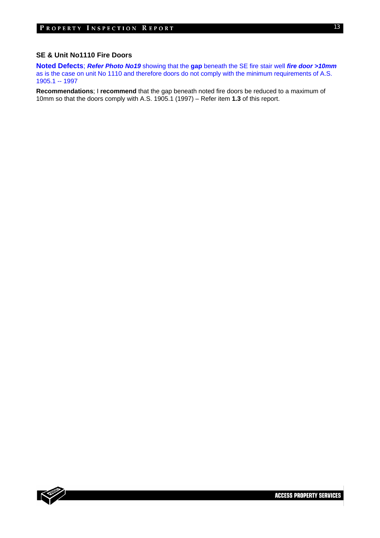### **SE & Unit No1110 Fire Doors**

**Noted Defects**; *Refer Photo No19* showing that the **gap** beneath the SE fire stair well *fire door >10mm* as is the case on unit No 1110 and therefore doors do not comply with the minimum requirements of A.S. 1905.1 -- 1997

**Recommendations**; I **recommend** that the gap beneath noted fire doors be reduced to a maximum of 10mm so that the doors comply with A.S. 1905.1 (1997) – Refer item **1.3** of this report.

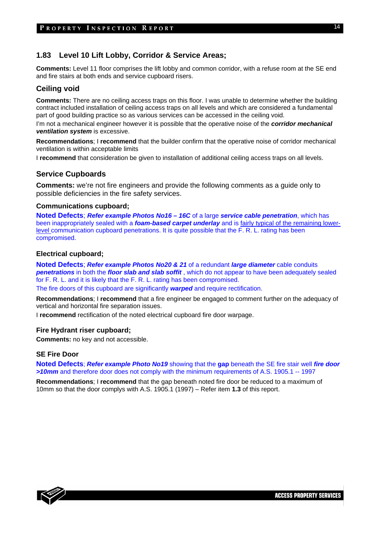# **1.83 Level 10 Lift Lobby, Corridor & Service Areas;**

**Comments:** Level 11 floor comprises the lift lobby and common corridor, with a refuse room at the SE end and fire stairs at both ends and service cupboard risers.

# **Ceiling void**

**Comments:** There are no ceiling access traps on this floor. I was unable to determine whether the building contract included installation of ceiling access traps on all levels and which are considered a fundamental part of good building practice so as various services can be accessed in the ceiling void.

I'm not a mechanical engineer however it is possible that the operative noise of the *corridor mechanical ventilation system* is excessive.

**Recommendations**; I **recommend** that the builder confirm that the operative noise of corridor mechanical ventilation is within acceptable limits

I **recommend** that consideration be given to installation of additional ceiling access traps on all levels.

# **Service Cupboards**

**Comments:** we're not fire engineers and provide the following comments as a guide only to possible deficiencies in the fire safety services.

#### **Communications cupboard;**

**Noted Defects**; *Refer example Photos No16 – 16C* of a large *service cable penetration*, which has been inappropriately sealed with a *foam-based carpet underlay* and is fairly typical of the remaining lowerlevel communication cupboard penetrations. It is quite possible that the F. R. L. rating has been compromised.

#### **Electrical cupboard;**

**Noted Defects**; *Refer example Photos No20 & 21* of a redundant *large diameter* cable conduits *penetrations* in both the *floor slab and slab soffit* , which do not appear to have been adequately sealed for F. R. L. and it is likely that the F. R. L. rating has been compromised.

The fire doors of this cupboard are significantly *warped* and require rectification.

**Recommendations**; I **recommend** that a fire engineer be engaged to comment further on the adequacy of vertical and horizontal fire separation issues.

I **recommend** rectification of the noted electrical cupboard fire door warpage.

#### **Fire Hydrant riser cupboard;**

**Comments:** no key and not accessible.

#### **SE Fire Door**

**Noted Defects**; *Refer example Photo No19* showing that the **gap** beneath the SE fire stair well *fire door >10mm* and therefore door does not comply with the minimum requirements of A.S. 1905.1 -- 1997

**Recommendations**; I **recommend** that the gap beneath noted fire door be reduced to a maximum of 10mm so that the door complys with A.S. 1905.1 (1997) – Refer item **1.3** of this report.

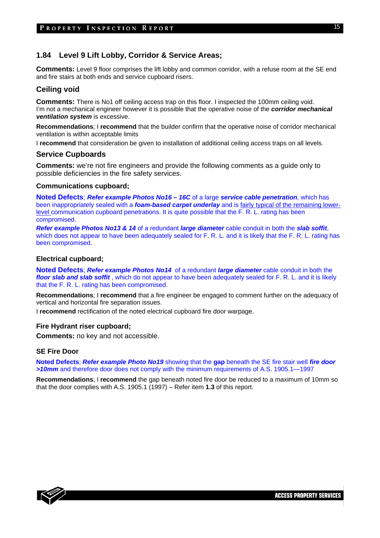# **1.84 Level 9 Lift Lobby, Corridor & Service Areas;**

**Comments:** Level 9 floor comprises the lift lobby and common corridor, with a refuse room at the SE end and fire stairs at both ends and service cupboard risers.

# **Ceiling void**

**Comments:** There is No1 off ceiling access trap on this floor. I inspected the 100mm ceiling void. I'm not a mechanical engineer however it is possible that the operative noise of the *corridor mechanical ventilation system* is excessive.

**Recommendations**; I **recommend** that the builder confirm that the operative noise of corridor mechanical ventilation is within acceptable limits

I **recommend** that consideration be given to installation of additional ceiling access traps on all levels.

#### **Service Cupboards**

**Comments:** we're not fire engineers and provide the following comments as a guide only to possible deficiencies in the fire safety services.

#### **Communications cupboard;**

**Noted Defects**; *Refer example Photos No16 – 16C* of a large *service cable penetration*, which has been inappropriately sealed with a *foam-based carpet underlay* and is fairly typical of the remaining lowerlevel communication cupboard penetrations. It is quite possible that the F. R. L. rating has been compromised.

*Refer example Photos No13 & 14* of a redundant *large diameter* cable conduit in both the *slab soffit*, which does not appear to have been adequately sealed for F. R. L. and it is likely that the F. R. L. rating has been compromised.

#### **Electrical cupboard;**

**Noted Defects**; *Refer example Photos No14* of a redundant *large diameter* cable conduit in both the *floor slab and slab soffit* , which do not appear to have been adequately sealed for F. R. L. and it is likely that the F. R. L. rating has been compromised.

**Recommendations**; I **recommend** that a fire engineer be engaged to comment further on the adequacy of vertical and horizontal fire separation issues.

I **recommend** rectification of the noted electrical cupboard fire door warpage.

#### **Fire Hydrant riser cupboard;**

**Comments:** no key and not accessible.

#### **SE Fire Door**

**Noted Defects**; *Refer example Photo No19* showing that the **gap** beneath the SE fire stair well *fire door >10mm* and therefore door does not comply with the minimum requirements of A.S. 1905.1—1997

**Recommendations**; I **recommend** the gap beneath noted fire door be reduced to a maximum of 10mm so that the door complies with A.S. 1905.1 (1997) – Refer item **1.3** of this report.

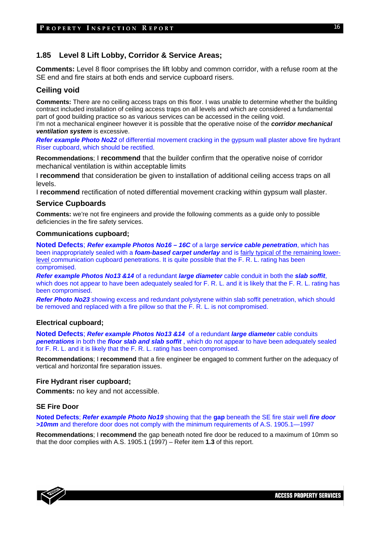# **1.85 Level 8 Lift Lobby, Corridor & Service Areas;**

**Comments:** Level 8 floor comprises the lift lobby and common corridor, with a refuse room at the SE end and fire stairs at both ends and service cupboard risers.

# **Ceiling void**

**Comments:** There are no ceiling access traps on this floor. I was unable to determine whether the building contract included installation of ceiling access traps on all levels and which are considered a fundamental part of good building practice so as various services can be accessed in the ceiling void.

I'm not a mechanical engineer however it is possible that the operative noise of the *corridor mechanical ventilation system* is excessive.

**Refer example Photo No22** of differential movement cracking in the gypsum wall plaster above fire hydrant Riser cupboard, which should be rectified.

**Recommendations**; I **recommend** that the builder confirm that the operative noise of corridor mechanical ventilation is within acceptable limits

I **recommend** that consideration be given to installation of additional ceiling access traps on all levels.

I **recommend** rectification of noted differential movement cracking within gypsum wall plaster.

#### **Service Cupboards**

**Comments:** we're not fire engineers and provide the following comments as a guide only to possible deficiencies in the fire safety services.

#### **Communications cupboard;**

**Noted Defects**; *Refer example Photos No16 – 16C* of a large *service cable penetration*, which has been inappropriately sealed with a *foam-based carpet underlay* and is fairly typical of the remaining lowerlevel communication cupboard penetrations. It is quite possible that the F. R. L. rating has been compromised.

*Refer example Photos No13 &14* of a redundant *large diameter* cable conduit in both the *slab soffit*, which does not appear to have been adequately sealed for F. R. L. and it is likely that the F. R. L. rating has been compromised.

*Refer Photo No23* showing excess and redundant polystyrene within slab soffit penetration, which should be removed and replaced with a fire pillow so that the F. R. L. is not compromised.

#### **Electrical cupboard;**

**Noted Defects**; *Refer example Photos No13 &14* of a redundant *large diameter* cable conduits *penetrations* in both the *floor slab and slab soffit* , which do not appear to have been adequately sealed for F. R. L. and it is likely that the F. R. L. rating has been compromised.

**Recommendations**; I **recommend** that a fire engineer be engaged to comment further on the adequacy of vertical and horizontal fire separation issues.

#### **Fire Hydrant riser cupboard;**

**Comments:** no key and not accessible.

# **SE Fire Door**

**Noted Defects**; *Refer example Photo No19* showing that the **gap** beneath the SE fire stair well *fire door >10mm* and therefore door does not comply with the minimum requirements of A.S. 1905.1—1997

**Recommendations**; I **recommend** the gap beneath noted fire door be reduced to a maximum of 10mm so that the door complies with A.S. 1905.1 (1997) – Refer item **1.3** of this report.



16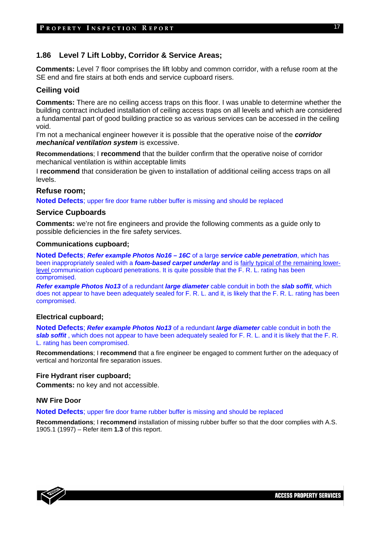# **1.86 Level 7 Lift Lobby, Corridor & Service Areas;**

**Comments:** Level 7 floor comprises the lift lobby and common corridor, with a refuse room at the SE end and fire stairs at both ends and service cupboard risers.

# **Ceiling void**

**Comments:** There are no ceiling access traps on this floor. I was unable to determine whether the building contract included installation of ceiling access traps on all levels and which are considered a fundamental part of good building practice so as various services can be accessed in the ceiling void.

I'm not a mechanical engineer however it is possible that the operative noise of the *corridor mechanical ventilation system* is excessive.

**Recommendations**; I **recommend** that the builder confirm that the operative noise of corridor mechanical ventilation is within acceptable limits

I **recommend** that consideration be given to installation of additional ceiling access traps on all levels.

#### **Refuse room;**

**Noted Defects**; upper fire door frame rubber buffer is missing and should be replaced

#### **Service Cupboards**

**Comments:** we're not fire engineers and provide the following comments as a guide only to possible deficiencies in the fire safety services.

#### **Communications cupboard;**

**Noted Defects**; *Refer example Photos No16 – 16C* of a large *service cable penetration*, which has been inappropriately sealed with a *foam-based carpet underlay* and is fairly typical of the remaining lowerlevel communication cupboard penetrations. It is quite possible that the F. R. L. rating has been compromised.

*Refer example Photos No13* of a redundant *large diameter* cable conduit in both the *slab soffit*, which does not appear to have been adequately sealed for F. R. L. and it, is likely that the F. R. L. rating has been compromised.

#### **Electrical cupboard;**

**Noted Defects**; *Refer example Photos No13* of a redundant *large diameter* cable conduit in both the *slab soffit* , which does not appear to have been adequately sealed for F. R. L. and it is likely that the F. R. L. rating has been compromised.

**Recommendations**; I **recommend** that a fire engineer be engaged to comment further on the adequacy of vertical and horizontal fire separation issues.

#### **Fire Hydrant riser cupboard;**

**Comments:** no key and not accessible.

#### **NW Fire Door**

**Noted Defects**; upper fire door frame rubber buffer is missing and should be replaced

**Recommendations**; I **recommend** installation of missing rubber buffer so that the door complies with A.S. 1905.1 (1997) – Refer item **1.3** of this report.

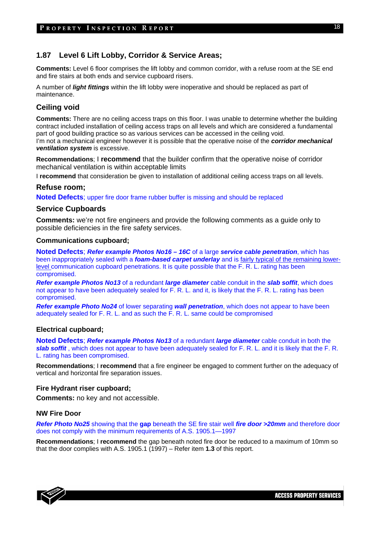# **1.87 Level 6 Lift Lobby, Corridor & Service Areas;**

**Comments:** Level 6 floor comprises the lift lobby and common corridor, with a refuse room at the SE end and fire stairs at both ends and service cupboard risers.

A number of *light fittings* within the lift lobby were inoperative and should be replaced as part of maintenance.

# **Ceiling void**

**Comments:** There are no ceiling access traps on this floor. I was unable to determine whether the building contract included installation of ceiling access traps on all levels and which are considered a fundamental part of good building practice so as various services can be accessed in the ceiling void. I'm not a mechanical engineer however it is possible that the operative noise of the *corridor mechanical ventilation system* is excessive.

**Recommendations**; I **recommend** that the builder confirm that the operative noise of corridor mechanical ventilation is within acceptable limits

I **recommend** that consideration be given to installation of additional ceiling access traps on all levels.

# **Refuse room;**

**Noted Defects**; upper fire door frame rubber buffer is missing and should be replaced

#### **Service Cupboards**

**Comments:** we're not fire engineers and provide the following comments as a guide only to possible deficiencies in the fire safety services.

#### **Communications cupboard;**

**Noted Defects**; *Refer example Photos No16 – 16C* of a large *service cable penetration*, which has been inappropriately sealed with a *foam-based carpet underlay* and is fairly typical of the remaining lowerlevel communication cupboard penetrations. It is quite possible that the F. R. L. rating has been compromised.

*Refer example Photos No13* of a redundant *large diameter* cable conduit in the *slab soffit*, which does not appear to have been adequately sealed for F. R. L. and it, is likely that the F. R. L. rating has been compromised.

*Refer example Photo No24* of lower separating *wall penetration*, which does not appear to have been adequately sealed for F. R. L. and as such the F. R. L. same could be compromised

#### **Electrical cupboard;**

**Noted Defects**; *Refer example Photos No13* of a redundant *large diameter* cable conduit in both the *slab soffit* , which does not appear to have been adequately sealed for F. R. L. and it is likely that the F. R. L. rating has been compromised.

**Recommendations**; I **recommend** that a fire engineer be engaged to comment further on the adequacy of vertical and horizontal fire separation issues.

## **Fire Hydrant riser cupboard;**

**Comments:** no key and not accessible.

#### **NW Fire Door**

*Refer Photo No25* showing that the **gap** beneath the SE fire stair well *fire door >20mm* and therefore door does not comply with the minimum requirements of A.S. 1905.1—1997

**Recommendations**; I **recommend** the gap beneath noted fire door be reduced to a maximum of 10mm so that the door complies with A.S. 1905.1 (1997) – Refer item **1.3** of this report.

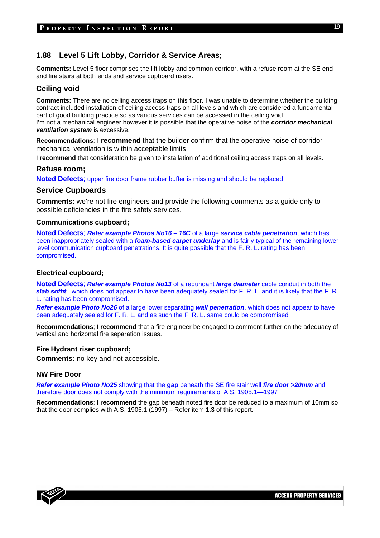# **1.88 Level 5 Lift Lobby, Corridor & Service Areas;**

**Comments:** Level 5 floor comprises the lift lobby and common corridor, with a refuse room at the SE end and fire stairs at both ends and service cupboard risers.

# **Ceiling void**

**Comments:** There are no ceiling access traps on this floor. I was unable to determine whether the building contract included installation of ceiling access traps on all levels and which are considered a fundamental part of good building practice so as various services can be accessed in the ceiling void.

I'm not a mechanical engineer however it is possible that the operative noise of the *corridor mechanical ventilation system* is excessive.

**Recommendations**; I **recommend** that the builder confirm that the operative noise of corridor mechanical ventilation is within acceptable limits

I **recommend** that consideration be given to installation of additional ceiling access traps on all levels.

#### **Refuse room;**

**Noted Defects**; upper fire door frame rubber buffer is missing and should be replaced

#### **Service Cupboards**

**Comments:** we're not fire engineers and provide the following comments as a guide only to possible deficiencies in the fire safety services.

#### **Communications cupboard;**

**Noted Defects**; *Refer example Photos No16 – 16C* of a large *service cable penetration*, which has been inappropriately sealed with a *foam-based carpet underlay* and is fairly typical of the remaining lowerlevel communication cupboard penetrations. It is quite possible that the F. R. L. rating has been compromised.

#### **Electrical cupboard;**

**Noted Defects**; *Refer example Photos No13* of a redundant *large diameter* cable conduit in both the *slab soffit* , which does not appear to have been adequately sealed for F. R. L. and it is likely that the F. R. L. rating has been compromised.

*Refer example Photo No26* of a large lower separating *wall penetration*, which does not appear to have been adequately sealed for F. R. L. and as such the F. R. L. same could be compromised

**Recommendations**; I **recommend** that a fire engineer be engaged to comment further on the adequacy of vertical and horizontal fire separation issues.

#### **Fire Hydrant riser cupboard;**

**Comments:** no key and not accessible.

#### **NW Fire Door**

*Refer example Photo No25* showing that the **gap** beneath the SE fire stair well *fire door >20mm* and therefore door does not comply with the minimum requirements of A.S. 1905.1—1997

**Recommendations**; I **recommend** the gap beneath noted fire door be reduced to a maximum of 10mm so that the door complies with A.S. 1905.1 (1997) – Refer item **1.3** of this report.

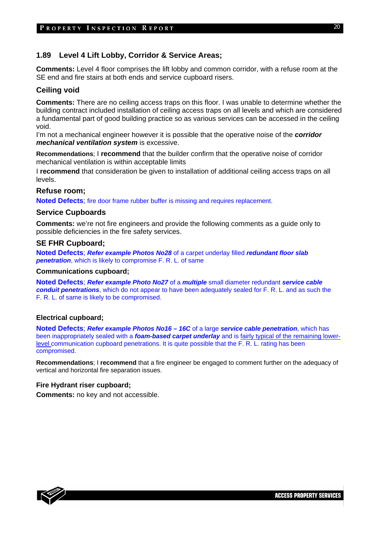# **1.89 Level 4 Lift Lobby, Corridor & Service Areas;**

**Comments:** Level 4 floor comprises the lift lobby and common corridor, with a refuse room at the SE end and fire stairs at both ends and service cupboard risers.

# **Ceiling void**

**Comments:** There are no ceiling access traps on this floor. I was unable to determine whether the building contract included installation of ceiling access traps on all levels and which are considered a fundamental part of good building practice so as various services can be accessed in the ceiling void.

I'm not a mechanical engineer however it is possible that the operative noise of the *corridor mechanical ventilation system* is excessive.

**Recommendations**; I **recommend** that the builder confirm that the operative noise of corridor mechanical ventilation is within acceptable limits

I **recommend** that consideration be given to installation of additional ceiling access traps on all levels.

#### **Refuse room;**

**Noted Defects**; fire door frame rubber buffer is missing and requires replacement.

#### **Service Cupboards**

**Comments:** we're not fire engineers and provide the following comments as a guide only to possible deficiencies in the fire safety services.

#### **SE FHR Cupboard;**

**Noted Defects**; *Refer example Photos No28* of a carpet underlay filled *redundant floor slab penetration*, which is likely to compromise F. R. L. of same

#### **Communications cupboard;**

**Noted Defects**; *Refer example Photo No27* of a *multiple* small diameter redundant *service cable conduit penetrations*, which do not appear to have been adequately sealed for F. R. L. and as such the F. R. L. of same is likely to be compromised.

#### **Electrical cupboard;**

**Noted Defects**; *Refer example Photos No16 – 16C* of a large *service cable penetration*, which has been inappropriately sealed with a *foam-based carpet underlay* and is fairly typical of the remaining lowerlevel communication cupboard penetrations. It is quite possible that the F. R. L. rating has been compromised.

**Recommendations**; I **recommend** that a fire engineer be engaged to comment further on the adequacy of vertical and horizontal fire separation issues.

#### **Fire Hydrant riser cupboard;**

**Comments:** no key and not accessible.

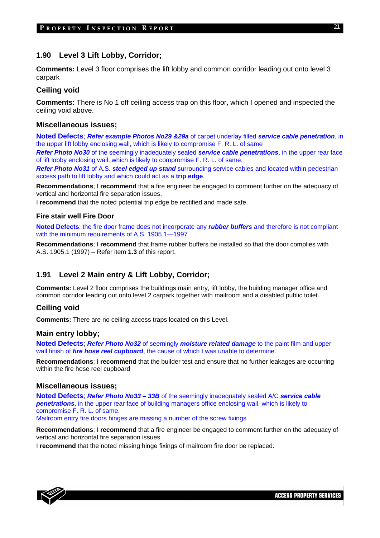# **1.90 Level 3 Lift Lobby, Corridor;**

**Comments:** Level 3 floor comprises the lift lobby and common corridor leading out onto level 3 carpark

# **Ceiling void**

**Comments:** There is No 1 off ceiling access trap on this floor, which I opened and inspected the ceiling void above.

#### **Miscellaneous issues;**

**Noted Defects**; *Refer example Photos No29 &29a* of carpet underlay filled *service cable penetration*, in the upper lift lobby enclosing wall, which is likely to compromise F. R. L. of same

*Refer Photo No30* of the seemingly inadequately sealed *service cable penetrations*, in the upper rear face of lift lobby enclosing wall, which is likely to compromise F. R. L. of same.

*Refer Photo No31* of A.S. *steel edged up stand* surrounding service cables and located within pedestrian access path to lift lobby and which could act as a **trip edge**.

**Recommendations**; I **recommend** that a fire engineer be engaged to comment further on the adequacy of vertical and horizontal fire separation issues.

I **recommend** that the noted potential trip edge be rectified and made safe.

## **Fire stair well Fire Door**

**Noted Defects**; the fire door frame does not incorporate any *rubber buffers* and therefore is not compliant with the minimum requirements of A.S. 1905.1—1997

**Recommendations**; I **recommend** that frame rubber buffers be installed so that the door complies with A.S. 1905.1 (1997) – Refer item **1.3** of this report.

# **1.91 Level 2 Main entry & Lift Lobby, Corridor;**

**Comments:** Level 2 floor comprises the buildings main entry, lift lobby, the building manager office and common corridor leading out onto level 2 carpark together with mailroom and a disabled public toilet.

# **Ceiling void**

**Comments:** There are no ceiling access traps located on this Level.

## **Main entry lobby;**

**Noted Defects**; *Refer Photo No32* of seemingly *moisture related damage* to the paint film and upper wall finish of *fire hose reel cupboard*, the cause of which I was unable to determine.

**Recommendations**; I **recommend** that the builder test and ensure that no further leakages are occurring within the fire hose reel cupboard

#### **Miscellaneous issues;**

**Noted Defects**; *Refer Photo No33 – 33B* of the seemingly inadequately sealed A/C *service cable penetrations*, in the upper rear face of building managers office enclosing wall, which is likely to compromise F. R. L. of same.

Mailroom entry fire doors hinges are missing a number of the screw fixings

**Recommendations**; I **recommend** that a fire engineer be engaged to comment further on the adequacy of vertical and horizontal fire separation issues.

I **recommend** that the noted missing hinge fixings of mailroom fire door be replaced.

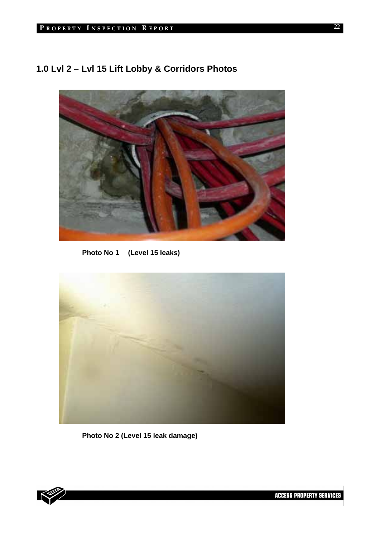# **1.0 Lvl 2 – Lvl 15 Lift Lobby & Corridors Photos**



**Photo No 1 (Level 15 leaks)** 



**Photo No 2 (Level 15 leak damage)** 

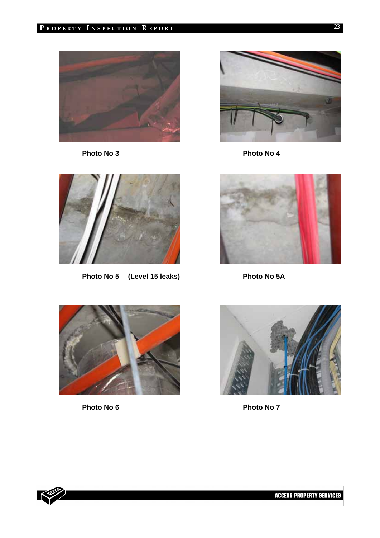



Photo No 3 **Photo No 4** 



Photo No 5 (Level 15 leaks) Photo No 5A







Photo No 6 **Photo No 7** 

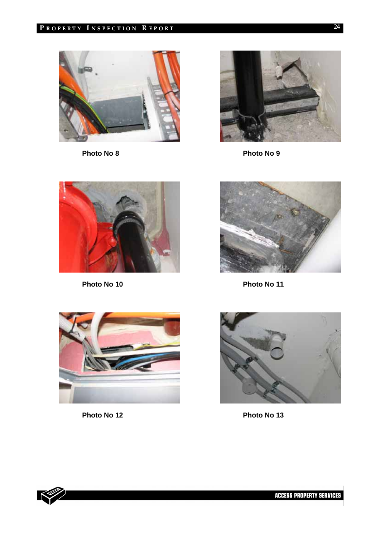



Photo No 8 **Photo No 9** 





**Photo No 10** Photo No 11



Photo No 12 Photo No 13



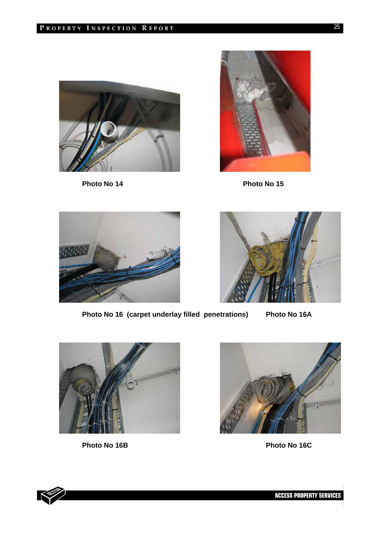

Photo No 14 Photo No 15







Photo No 16 (carpet underlay filled penetrations) Photo No 16A





Photo No 16B Photo No 16C

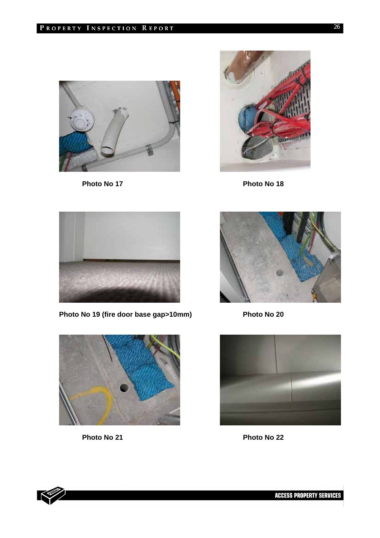

Photo No 17 Photo No 18





Photo No 19 (fire door base gap>10mm) Photo No 20







Photo No 21 Photo No 22

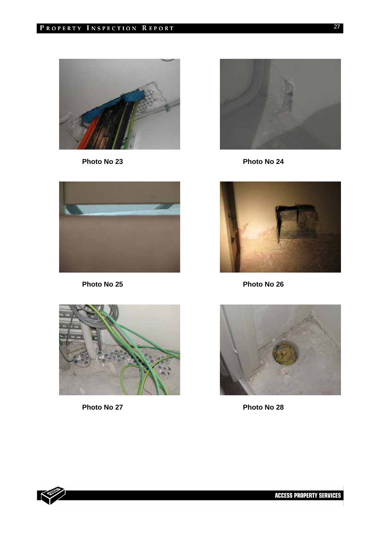



Photo No 23 **Photo No 24** 





Photo No 25 **Photo No 26** 



Photo No 27 Photo No 28



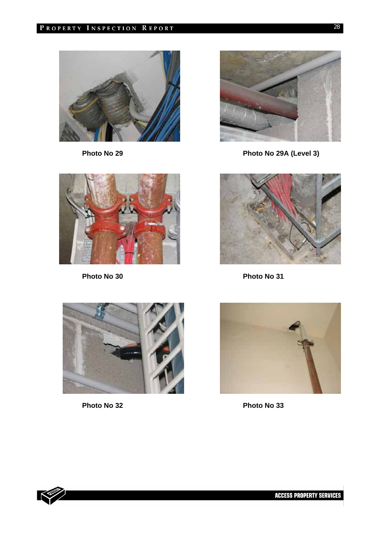



Photo No 29 **Photo No 29A** (Level 3)



Photo No 30 **Photo No 31** 







Photo No 32 **Photo No 33** 

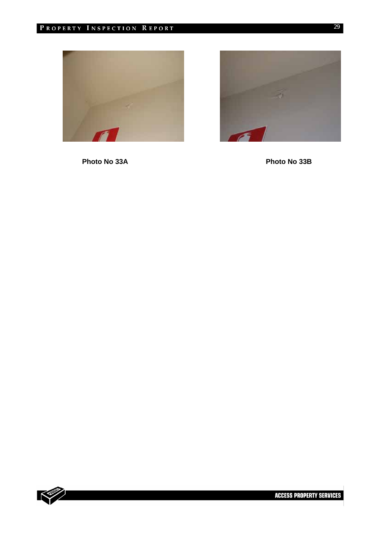



**Photo No 33A Photo No 33B** 

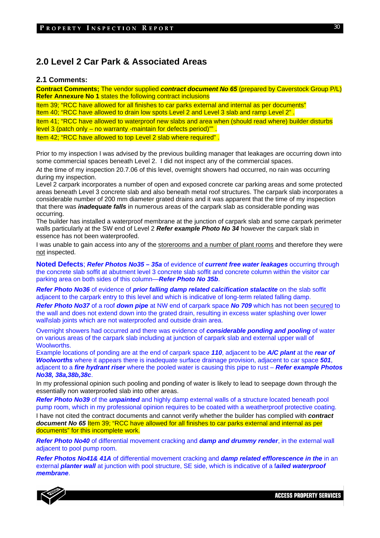# **2.0 Level 2 Car Park & Associated Areas**

#### **2.1 Comments:**

**Contract Comments;** The vendor supplied *contract document No 65* (prepared by Caverstock Group P/L) **Refer Annexure No 1 states the following contract inclusions** 

Item 39; "RCC have allowed for all finishes to car parks external and internal as per documents" Item 40; "RCC have allowed to drain low spots Level 2 and Level 3 slab and ramp Level 2" .

Item 41; "RCC have allowed to waterproof new slabs and area when (should read where) builder disturbs level 3 (patch only – no warranty -maintain for defects period)"".

Item 42; "RCC have allowed to top Level 2 slab where required" .

Prior to my inspection I was advised by the previous building manager that leakages are occurring down into some commercial spaces beneath Level 2. I did not inspect any of the commercial spaces.

At the time of my inspection 20.7.06 of this level, overnight showers had occurred, no rain was occurring during my inspection.

Level 2 carpark incorporates a number of open and exposed concrete car parking areas and some protected areas beneath Level 3 concrete slab and also beneath metal roof structures. The carpark slab incorporates a considerable number of 200 mm diameter grated drains and it was apparent that the time of my inspection that there was *inadequate falls* in numerous areas of the carpark slab as considerable ponding was occurring.

The builder has installed a waterproof membrane at the junction of carpark slab and some carpark perimeter walls particularly at the SW end of Level 2 *Refer example Photo No 34* however the carpark slab in essence has not been waterproofed.

I was unable to gain access into any of the storerooms and a number of plant rooms and therefore they were not inspected.

**Noted Defects**; *Refer Photos No35 – 35a* of evidence of *current free water leakages* occurring through the concrete slab soffit at abutment level 3 concrete slab soffit and concrete column within the visitor car parking area on both sides of this column—*Refer Photo No 35b*.

*Refer Photo No36* of evidence of *prior falling damp related calcification stalactite* on the slab soffit adjacent to the carpark entry to this level and which is indicative of long-term related falling damp.

*Refer Photo No37* of a roof *down pipe* at NW end of carpark space *No 709* which has not been secured to the wall and does not extend down into the grated drain, resulting in excess water splashing over lower wall\slab joints which are not waterproofed and outside drain area.

Overnight showers had occurred and there was evidence of *considerable ponding and pooling* of water on various areas of the carpark slab including at junction of carpark slab and external upper wall of Woolworths.

Example locations of ponding are at the end of carpark space *110*, adjacent to be *A/C plant* at the *rear of Woolworths* where it appears there is inadequate surface drainage provision, adjacent to car space *501*, adjacent to a *fire hydrant riser* where the pooled water is causing this pipe to rust – *Refer example Photos No38, 38a,38b,38c*.

In my professional opinion such pooling and ponding of water is likely to lead to seepage down through the essentially non waterproofed slab into other areas.

*Refer Photo No39* of the *unpainted* and highly damp external walls of a structure located beneath pool pump room, which in my professional opinion requires to be coated with a weatherproof protective coating.

I have not cited the contract documents and cannot verify whether the builder has complied with *contract document No 65* Item 39; "RCC have allowed for all finishes to car parks external and internal as per documents" for this incomplete work.

*Refer Photo No40* of differential movement cracking and *damp and drummy render*, in the external wall adjacent to pool pump room.

*Refer Photos No41& 41A* of differential movement cracking and *damp related efflorescence in the* in an external *planter wall* at junction with pool structure, SE side, which is indicative of a f*ailed waterproof membrane*.



30

**ACCESS PROPERTY SERVICES**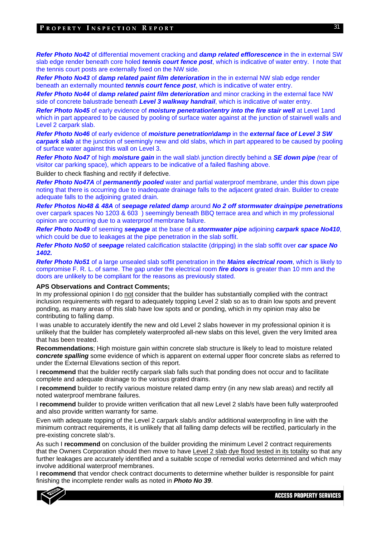#### PROPERTY INSPECTION REPORT

*Refer Photo No42* of differential movement cracking and *damp related efflorescence* in the in external SW slab edge render beneath core holed *tennis court fence post*, which is indicative of water entry. I note that the tennis court posts are externally fixed on the NW side.

*Refer Photo No43* of *damp related paint film deterioration* in the in external NW slab edge render beneath an externally mounted *tennis court fence post*, which is indicative of water entry.

*Refer Photo No44* of *damp related paint film deterioration* and minor cracking in the external face NW side of concrete balustrade beneath *Level 3 walkway handrail*, which is indicative of water entry.

*Refer Photo No45* of early evidence of *moisture penetration\entry into the fire stair well* at Level 1and which in part appeared to be caused by pooling of surface water against at the junction of stairwell walls and Level 2 carpark slab.

*Refer Photo No46* of early evidence of *moisture penetration\damp* in the *external face of Level 3 SW carpark slab* at the junction of seemingly new and old slabs, which in part appeared to be caused by pooling of surface water against this wall on Level 3.

*Refer Photo No47* of high *moisture gain* in the wall slab\ junction directly behind a *SE down pipe (*rear of visitor car parking space), which appears to be indicative of a failed flashing above.

Builder to check flashing and rectify if defective.

*Refer Photo No47A* of *permanently pooled* water and partial waterproof membrane, under this down pipe noting that there is occurring due to inadequate drainage falls to the adjacent grated drain. Builder to create adequate falls to the adjoining grated drain.

*Refer Photos No48 & 48A* of *seepage related damp* around *No 2 off stormwater drainpipe penetrations* over carpark spaces No 1203 & 603 ) seemingly beneath BBQ terrace area and which in my professional opinion are occurring due to a waterproof membrane failure.

*Refer Photo No49* of seeming *seepage* at the base of a *stormwater pipe* adjoining *carpark space No410*, which could be due to leakages at the pipe penetration in the slab soffit.

*Refer Photo No50* of *seepage* related calcification stalactite (dripping) in the slab soffit over *car space No 1402.*

*Refer Photo No51* of a large unsealed slab soffit penetration in the *Mains electrical room*, which is likely to compromise F. R. L. of same. The gap under the electrical room *fire doors* is greater than 10 mm and the doors are unlikely to be compliant for the reasons as previously stated.

#### **APS Observations and Contract Comments;**

In my professional opinion I do not consider that the builder has substantially complied with the contract inclusion requirements with regard to adequately topping Level 2 slab so as to drain low spots and prevent ponding, as many areas of this slab have low spots and or ponding, which in my opinion may also be contributing to falling damp.

I was unable to accurately identify the new and old Level 2 slabs however in my professional opinion it is unlikely that the builder has completely waterproofed all-new slabs on this level, given the very limited area that has been treated.

**Recommendations**; High moisture gain within concrete slab structure is likely to lead to moisture related *concrete spalling* some evidence of which is apparent on external upper floor concrete slabs as referred to under the External Elevations section of this report.

I **recommend** that the builder rectify carpark slab falls such that ponding does not occur and to facilitate complete and adequate drainage to the various grated drains.

I **recommend** builder to rectify various moisture related damp entry (in any new slab areas) and rectify all noted waterproof membrane failures.

I **recommend** builder to provide written verification that all new Level 2 slab/s have been fully waterproofed and also provide written warranty for same.

Even with adequate topping of the Level 2 carpark slab/s and/or additional waterproofing in line with the minimum contract requirements, it is unlikely that all falling damp defects will be rectified, particularly in the pre-existing concrete slab's.

As such I **recommend** on conclusion of the builder providing the minimum Level 2 contract requirements that the Owners Corporation should then move to have Level 2 slab dye flood tested in its totality so that any further leakages are accurately identified and a suitable scope of remedial works determined and which may involve additional waterproof membranes.

I **recommend** that vendor check contract documents to determine whether builder is responsible for paint finishing the incomplete render walls as noted in *Photo No 39*.

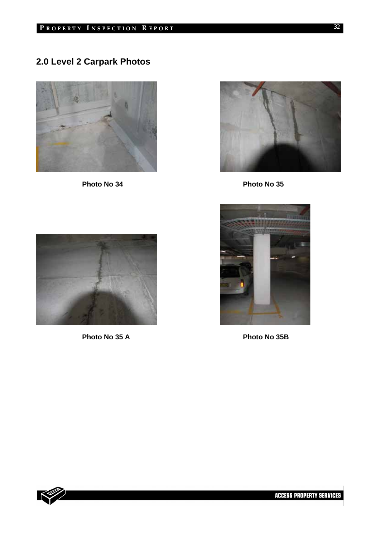# **2.0 Level 2 Carpark Photos**





Photo No 34 **Photo No 35** 



Photo No 35 A Photo No 35 A



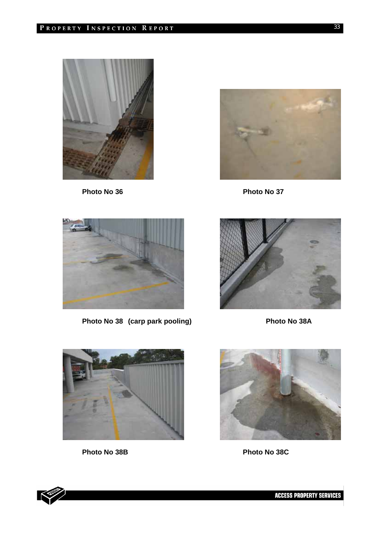



Photo No 36 **Photo No 37** 



Photo No 38 (carp park pooling) Photo No 38A





K



Photo No 38B Photo No 38C



**ACCESS PROPERTY SERVICES**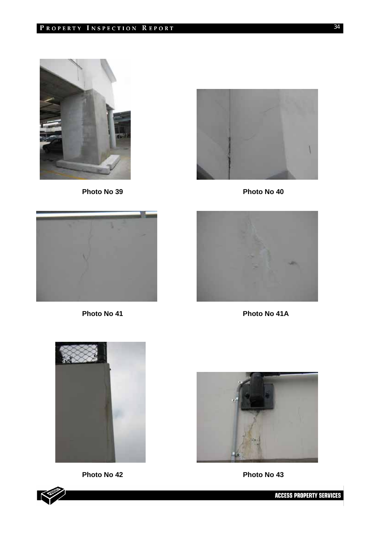



Photo No 39 **Photo No 40** 







Photo No 41 **Photo No 41A** 









**ACCESS PROPERTY SERVICES**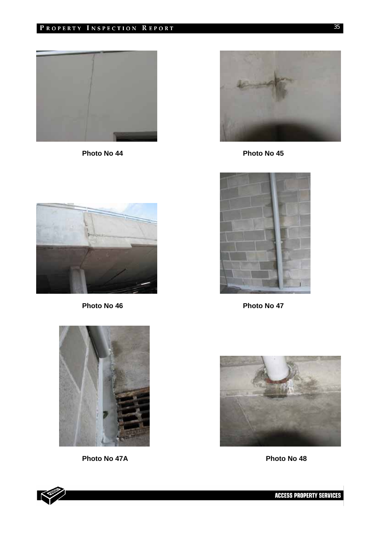# PROPERTY INSPECTION REPORT



Photo No 44 **Photo No 45** 







Photo No 46 **Photo No 47** 



Photo No 47A Photo No 47A





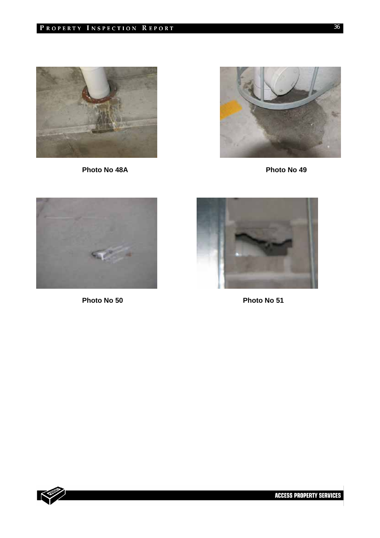# PROPERTY INSPECTION REPORT



**Photo No 48A Photo No 49** 







Photo No 50 **Photo No 51** 

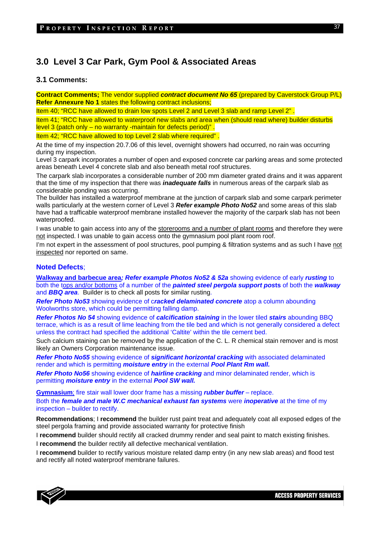# **3.0 Level 3 Car Park, Gym Pool & Associated Areas**

#### **3.1 Comments:**

**Contract Comments;** The vendor supplied *contract document No 65* (prepared by Caverstock Group P/L) **Refer Annexure No 1 states the following contract inclusions;** 

Item 40; "RCC have allowed to drain low spots Level 2 and Level 3 slab and ramp Level 2" .

Item 41; "RCC have allowed to waterproof new slabs and area when (should read where) builder disturbs level 3 (patch only – no warranty -maintain for defects period)" .

Item 42; "RCC have allowed to top Level 2 slab where required" .

At the time of my inspection 20.7.06 of this level, overnight showers had occurred, no rain was occurring during my inspection.

Level 3 carpark incorporates a number of open and exposed concrete car parking areas and some protected areas beneath Level 4 concrete slab and also beneath metal roof structures.

The carpark slab incorporates a considerable number of 200 mm diameter grated drains and it was apparent that the time of my inspection that there was *inadequate falls* in numerous areas of the carpark slab as considerable ponding was occurring.

The builder has installed a waterproof membrane at the junction of carpark slab and some carpark perimeter walls particularly at the western corner of Level 3 *Refer example Photo No52* and some areas of this slab have had a trafficable waterproof membrane installed however the majority of the carpark slab has not been waterproofed.

I was unable to gain access into any of the storerooms and a number of plant rooms and therefore they were not inspected. I was unable to gain access onto the gymnasium pool plant room roof.

I'm not expert in the assessment of pool structures, pool pumping & filtration systems and as such I have not inspected nor reported on same.

#### **Noted Defects**;

**Walkway and barbecue area***; Refer example Photos No52 & 52a* showing evidence of early *rusting* to both the tops and/or bottoms of a number of the *painted steel pergola support pos***ts** of both the *walkway* and *BBQ area*. Builder is to check all posts for similar rusting.

*Refer Photo No53* showing evidence of c*racked delaminated concrete* atop a column abounding Woolworths store, which could be permitting falling damp.

*Refer Photos No 54* showing evidence of *calcification staining* in the lower tiled *stairs* abounding BBQ terrace, which is as a result of lime leaching from the tile bed and which is not generally considered a defect unless the contract had specified the additional 'Caltite' within the tile cement bed.

Such calcium staining can be removed by the application of the C. L. R chemical stain remover and is most likely an Owners Corporation maintenance issue.

*Refer Photo No55* showing evidence of *significant horizontal cracking* with associated delaminated render and which is permitting *moisture entry* in the external *Pool Plant Rm wall.* 

*Refer Photo No56* showing evidence of *hairline cracking* and minor delaminated render, which is permitting *moisture entry* in the external *Pool SW wall.* 

**Gymnasium**; fire stair wall lower door frame has a missing *rubber buffer* – replace.

Both the *female and male W.C mechanical exhaust fan systems* were *inoperative* at the time of my inspection – builder to rectify.

**Recommendations**; I **recommend** the builder rust paint treat and adequately coat all exposed edges of the steel pergola framing and provide associated warranty for protective finish

I **recommend** builder should rectify all cracked drummy render and seal paint to match existing finishes.

I **recommend** the builder rectify all defective mechanical ventilation.

I **recommend** builder to rectify various moisture related damp entry (in any new slab areas) and flood test and rectify all noted waterproof membrane failures.

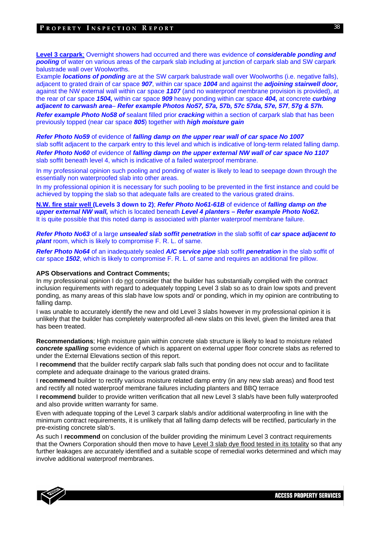#### PROPERTY INSPECTION REPORT

**Level 3 carpark**; Overnight showers had occurred and there was evidence of *considerable ponding and pooling* of water on various areas of the carpark slab including at junction of carpark slab and SW carpark balustrade wall over Woolworths.

Example *locations of ponding* are at the SW carpark balustrade wall over Woolworths (i.e. negative falls), adjacent to grated drain of car space *907*, within car space *1004* and against the *adjoining stairwell door,* against the NW external wall within car space *1107* (and no waterproof membrane provision is provided), at the rear of car space *1504,* within car space *909* heavy ponding within car space *404,* at concrete *curbing adjacent to carwash area*– *Refer example Photos No57, 57a, 57b, 57c 57da, 57e, 57f*, *57g & 57h. Refer example Photo No58 of* sealant filled prior *cracking* within a section of carpark slab that has been previously topped (near car space *805*) together with *high moisture gain*

*Refer Photo No59* of evidence of *falling damp on the upper rear wall of car space No 1007*  slab soffit adjacent to the carpark entry to this level and which is indicative of long-term related falling damp. *Refer Photo No60* of evidence of *falling damp on the upper external NW wall of car space No 1107*  slab soffit beneath level 4, which is indicative of a failed waterproof membrane.

In my professional opinion such pooling and ponding of water is likely to lead to seepage down through the essentially non waterproofed slab into other areas.

In my professional opinion it is necessary for such pooling to be prevented in the first instance and could be achieved by topping the slab so that adequate falls are created to the various grated drains.

**N.W. fire stair well (Levels 3 down to 2)**; *Refer Photo No61-61B* of evidence of *falling damp on the upper external NW wall,* which is located beneath *Level 4 planters – Refer example Photo No62.*  It is quite possible that this noted damp is associated with planter waterproof membrane failure.

*Refer Photo No63* of a large *unsealed slab soffit penetration* in the slab soffit of *car space adjacent to plant* room, which is likely to compromise F. R. L. of same.

*Refer Photo No64* of an inadequately sealed *A/C service pipe* slab soffit *penetration* in the slab soffit of car space *1502*, which is likely to compromise F. R. L. of same and requires an additional fire pillow.

#### **APS Observations and Contract Comments;**

In my professional opinion I do not consider that the builder has substantially complied with the contract inclusion requirements with regard to adequately topping Level 3 slab so as to drain low spots and prevent ponding, as many areas of this slab have low spots and/ or ponding, which in my opinion are contributing to falling damp.

I was unable to accurately identify the new and old Level 3 slabs however in my professional opinion it is unlikely that the builder has completely waterproofed all-new slabs on this level, given the limited area that has been treated.

**Recommendations**; High moisture gain within concrete slab structure is likely to lead to moisture related *concrete spalling* some evidence of which is apparent on external upper floor concrete slabs as referred to under the External Elevations section of this report.

I **recommend** that the builder rectify carpark slab falls such that ponding does not occur and to facilitate complete and adequate drainage to the various grated drains.

I **recommend** builder to rectify various moisture related damp entry (in any new slab areas) and flood test and rectify all noted waterproof membrane failures including planters and BBQ terrace

I **recommend** builder to provide written verification that all new Level 3 slab/s have been fully waterproofed and also provide written warranty for same.

Even with adequate topping of the Level 3 carpark slab/s and/or additional waterproofing in line with the minimum contract requirements, it is unlikely that all falling damp defects will be rectified, particularly in the pre-existing concrete slab's.

As such I **recommend** on conclusion of the builder providing the minimum Level 3 contract requirements that the Owners Corporation should then move to have Level 3 slab dye flood tested in its totality so that any further leakages are accurately identified and a suitable scope of remedial works determined and which may involve additional waterproof membranes.



**ACCESS PROPERTY SERVICES**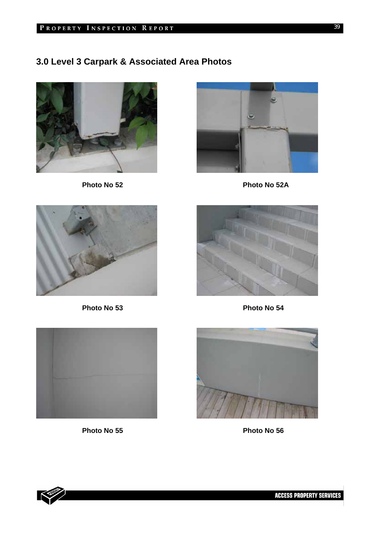# **3.0 Level 3 Carpark & Associated Area Photos**





**Photo No 52 Photo No 52A** 





Photo No 53 **Photo No 54** 





**Photo No 55 Photo No 56** 

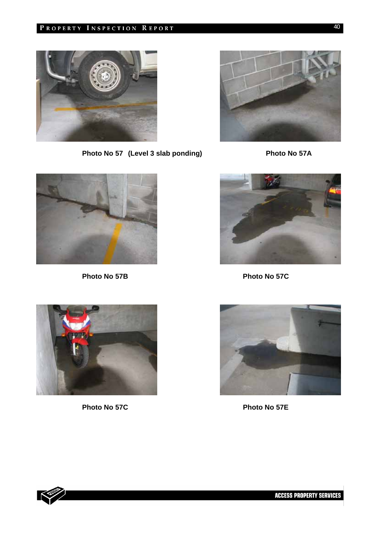# PROPERTY INSPECTION REPORT



Photo No 57 (Level 3 slab ponding) Photo No 57A







Photo No 57B Photo No 57C





**Photo No 57C Photo No 57E** 

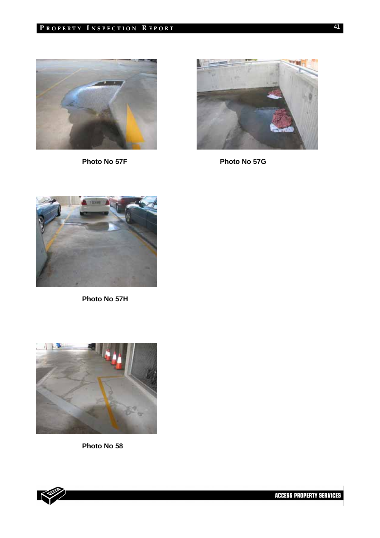



Photo No 57F Photo No 57G



**Photo No 57H** 



**Photo No 58** 

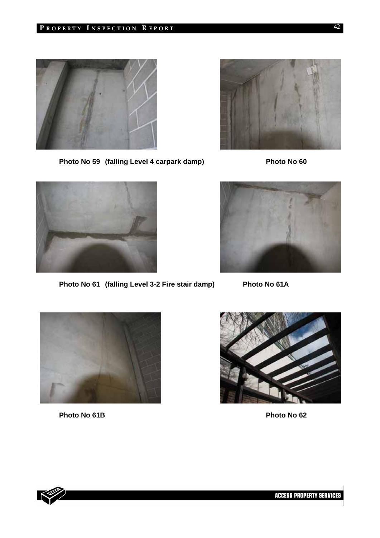



Photo No 59 (falling Level 4 carpark damp) Photo No 60



Photo No 61 (falling Level 3-2 Fire stair damp) Photo No 61A





Photo No 61B **Photo No 62** 



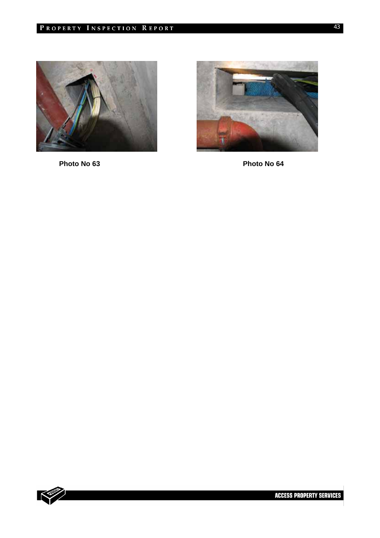



Photo No 63 **Photo No 64** 

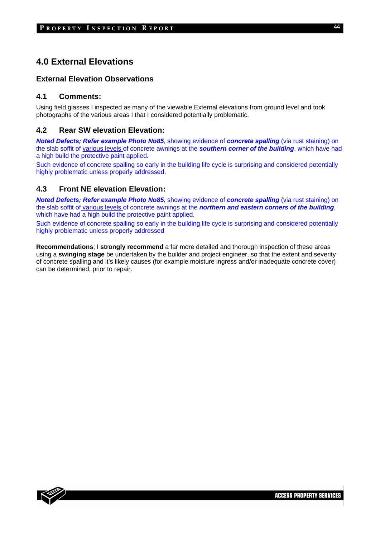# **4.0 External Elevations**

# **External Elevation Observations**

# **4.1 Comments:**

Using field glasses I inspected as many of the viewable External elevations from ground level and took photographs of the various areas I that I considered potentially problematic.

# **4.2 Rear SW elevation Elevation:**

*Noted Defects; Refer example Photo No85,* showing evidence of *concrete spalling* (via rust staining) on the slab soffit of various levels of concrete awnings at the *southern corner of the building*, which have had a high build the protective paint applied.

Such evidence of concrete spalling so early in the building life cycle is surprising and considered potentially highly problematic unless properly addressed.

# **4.3 Front NE elevation Elevation:**

*Noted Defects; Refer example Photo No85,* showing evidence of *concrete spalling* (via rust staining) on the slab soffit of various levels of concrete awnings at the *northern and eastern corners of the building*, which have had a high build the protective paint applied.

Such evidence of concrete spalling so early in the building life cycle is surprising and considered potentially highly problematic unless properly addressed

**Recommendations**; I **strongly recommend** a far more detailed and thorough inspection of these areas using a **swinging stage** be undertaken by the builder and project engineer, so that the extent and severity of concrete spalling and it's likely causes (for example moisture ingress and/or inadequate concrete cover) can be determined, prior to repair.

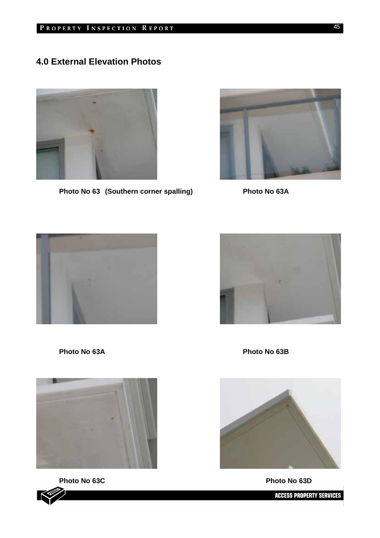# **4.0 External Elevation Photos**



Photo No 63 (Southern corner spalling) Photo No 63A









**Photo No 63C Photo No 63D** 



Photo No 63A **Photo No 63B** 



**ACCESS PROPERTY SERVICES**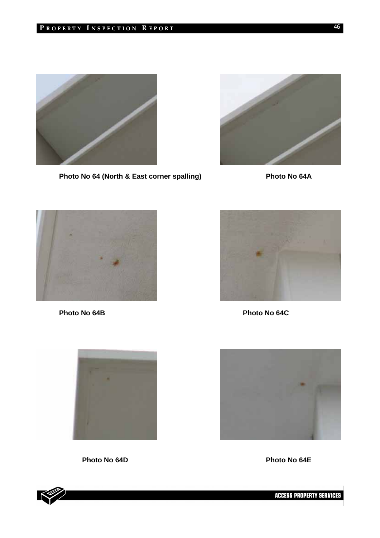

Photo No 64 (North & East corner spalling) Photo No 64A





**Photo No 64B Photo No 64C** 





Photo No 64D **Photo No 64E** 



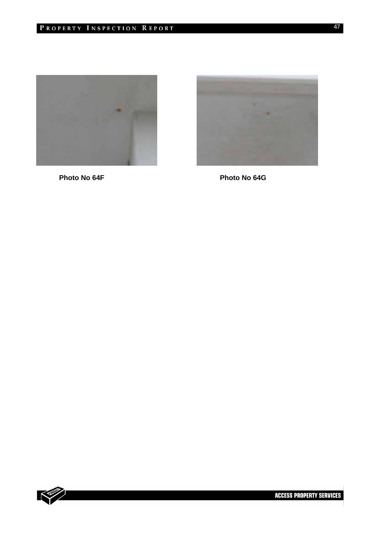



**Photo No 64F** Photo No 64G

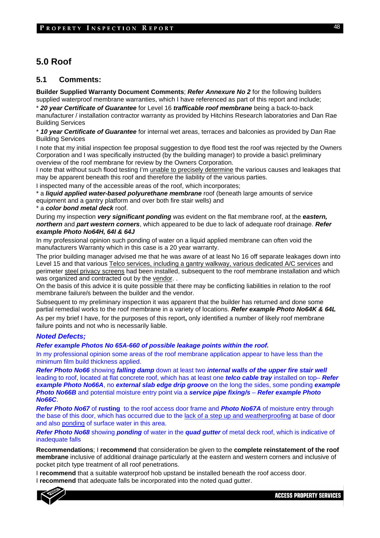# **5.0 Roof**

## **5.1 Comments:**

**Builder Supplied Warranty Document Comments**; *Refer Annexure No 2* for the following builders supplied waterproof membrane warranties, which I have referenced as part of this report and include;

\* *20 year Certificate of Guarantee* for Level 16 *trafficable roof membrane* being a back-to-back manufacturer / installation contractor warranty as provided by Hitchins Research laboratories and Dan Rae Building Services

\* *10 year Certificate of Guarantee* for internal wet areas, terraces and balconies as provided by Dan Rae Building Services

I note that my initial inspection fee proposal suggestion to dye flood test the roof was rejected by the Owners Corporation and I was specifically instructed (by the building manager) to provide a basic\ preliminary overview of the roof membrane for review by the Owners Corporation.

I note that without such flood testing I'm unable to precisely determine the various causes and leakages that may be apparent beneath this roof and therefore the liability of the various parties.

I inspected many of the accessible areas of the roof, which incorporates;

\* a *liquid applied water-based polyurethane membrane* roof (beneath large amounts of service equipment and a gantry platform and over both fire stair wells) and

a **color bond metal deck** roof.

During my inspection *very significant ponding* was evident on the flat membrane roof, at the *eastern, northern* and *part western corners*, which appeared to be due to lack of adequate roof drainage. *Refer example Photo No64H, 64I & 64J* 

In my professional opinion such ponding of water on a liquid applied membrane can often void the manufacturers Warranty which in this case is a 20 year warranty.

The prior building manager advised me that he was aware of at least No 16 off separate leakages down into Level 15 and that various Telco services, including a gantry walkway, various dedicated A/C services and perimeter steel privacy screens had been installed, subsequent to the roof membrane installation and which was organized and contracted out by the vendor. .

On the basis of this advice it is quite possible that there may be conflicting liabilities in relation to the roof membrane failure/s between the builder and the vendor.

Subsequent to my preliminary inspection it was apparent that the builder has returned and done some partial remedial works to the roof membrane in a variety of locations. *Refer example Photo No64K & 64L* As per my brief I have, for the purposes of this report**,** only identified a number of likely roof membrane

failure points and not who is necessarily liable.

# *Noted Defects;*

*Refer example Photos No 65A-660 of possible leakage points within the roof.* 

In my professional opinion some areas of the roof membrane application appear to have less than the minimum film build thickness applied.

*Refer Photo No66* showing *falling damp* down at least two *internal walls of the upper fire stair well*  leading to roof, located at flat concrete roof, which has at least one *telco cable tray* installed on top– *Refer example Photo No66A*, no *external slab edge drip groove* on the long the sides, some ponding *example Photo No66B* and potential moisture entry point via a *service pipe fixing/s* – *Refer example Photo No66C*.

*Refer Photo No67* of **rusting** to the roof access door frame and *Photo No67A* of moisture entry through the base of this door, which has occurred due to the lack of a step up and weatherproofing at base of door and also ponding of surface water in this area.

*Refer Photo No68* showing *ponding* of water in the *quad gutter* of metal deck roof, which is indicative of inadequate falls

**Recommendations**; I **recommend** that consideration be given to the **complete reinstatement of the roof membrane** inclusive of additional drainage particularly at the eastern and western corners and inclusive of pocket pitch type treatment of all roof penetrations.

I **recommend** that a suitable waterproof hob upstand be installed beneath the roof access door. I **recommend** that adequate falls be incorporated into the noted quad gutter.



48

**ACCESS PROPERTY SERVICES**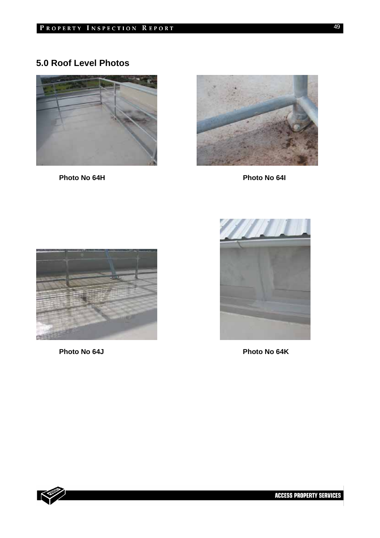# **5.0 Roof Level Photos**



Photo No 64H **Photo No 64I** 





Photo No 64J **Photo No 64K** 



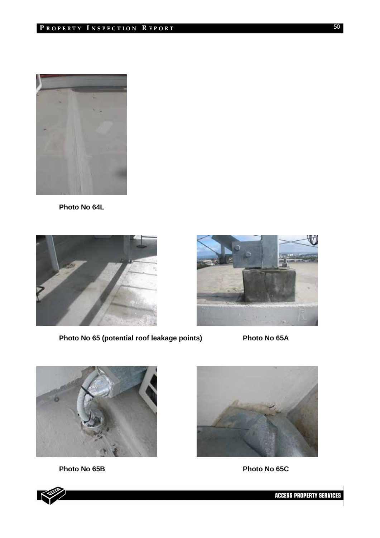

**Photo No 64L** 



Photo No 65 (potential roof leakage points) Photo No 65A





Photo No 65B Photo No 65C





**ACCESS PROPERTY SERVICES**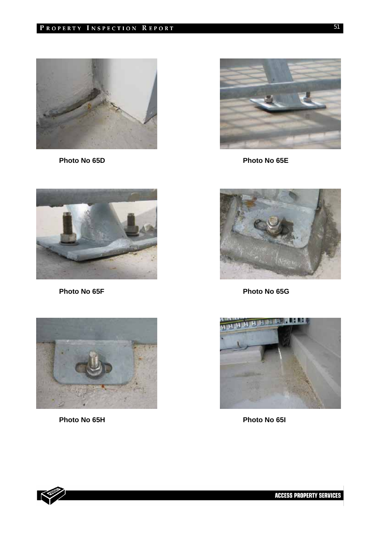





**Photo No 65H Photo No 65I** 



Photo No 65D **Photo No 65E** 



Photo No 65F Photo No 65G



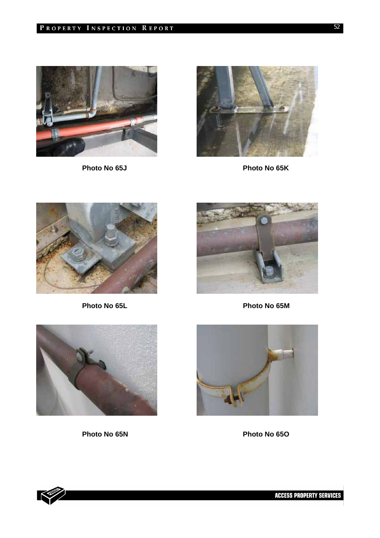



Photo No 65J Photo No 65K





Photo No 65L **Photo No 65M** 



**Photo No 65N Photo No 65O** 



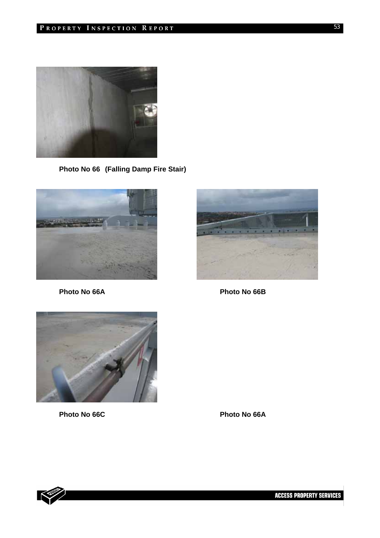

**Photo No 66 (Falling Damp Fire Stair)** 



**Photo No 66A Photo No 66B** 





Photo No 66C **Photo No 66A** 

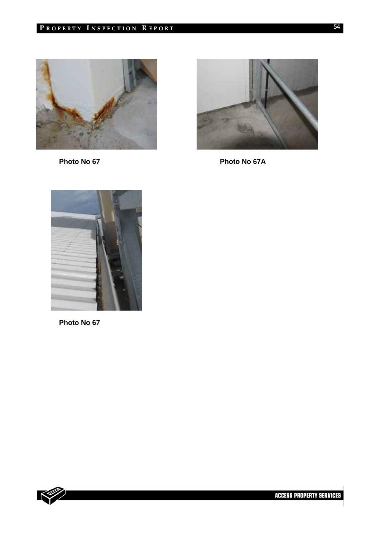



Photo No 67 **Photo No 67 A** 



**Photo No 67**